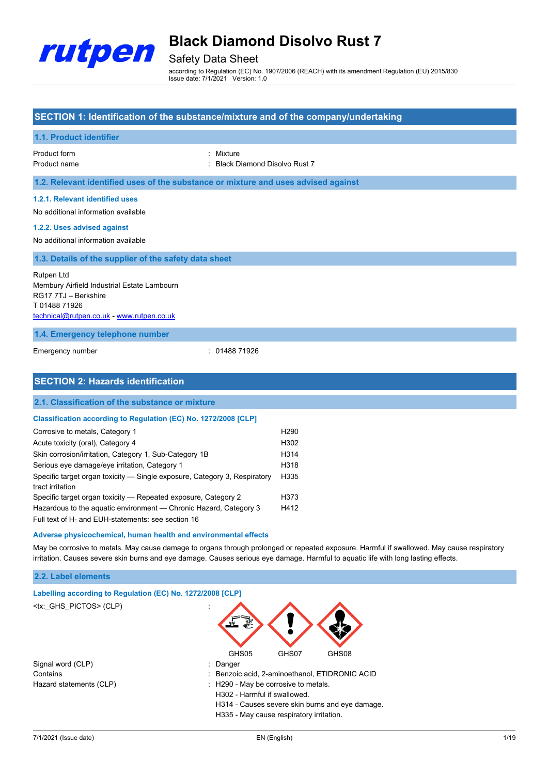

### Safety Data Sheet

according to Regulation (EC) No. 1907/2006 (REACH) with its amendment Regulation (EU) 2015/830 Issue date: 7/1/2021 Version: 1.0

#### **SECTION 1: Identification of the substance/mixture and of the company/undertaking**

| 1.1. Product identifier                                                                                                                       |                                                                  |
|-----------------------------------------------------------------------------------------------------------------------------------------------|------------------------------------------------------------------|
| Product form<br>Product name                                                                                                                  | Mixture<br>٠<br><b>Black Diamond Disolvo Rust 7</b><br>$\bullet$ |
| 1.2. Relevant identified uses of the substance or mixture and uses advised against                                                            |                                                                  |
| 1.2.1. Relevant identified uses<br>No additional information available                                                                        |                                                                  |
| 1.2.2. Uses advised against<br>No additional information available                                                                            |                                                                  |
| 1.3. Details of the supplier of the safety data sheet                                                                                         |                                                                  |
| Rutpen Ltd<br>Membury Airfield Industrial Estate Lambourn<br>RG17 7TJ - Berkshire<br>T0148871926<br>technical@rutpen.co.uk - www.rutpen.co.uk |                                                                  |
| 1.4. Emergency telephone number                                                                                                               |                                                                  |
| Emergency number                                                                                                                              | : 0148871926                                                     |
| <b>SECTION 2: Hazards identification</b>                                                                                                      |                                                                  |

### **2.1. Classification of the substance or mixture Classification according to Regulation (EC) No. 1272/2008 [CLP]** Corrosive to metals, Category 1 https://www.corrosive.com/h290 Acute toxicity (oral), Category 4 H302 Skin corrosion/irritation, Category 1, Sub-Category 1B H314 Serious eye damage/eye irritation, Category 1 https://www.com/serious-eye extending the H318

| Specific target organ toxicity — Single exposure, Category 3, Respiratory | H <sub>335</sub>  |
|---------------------------------------------------------------------------|-------------------|
| tract irritation                                                          |                   |
| Specific target organ toxicity — Repeated exposure, Category 2            | H <sub>3</sub> 73 |
| Hazardous to the aquatic environment — Chronic Hazard, Category 3         | H412              |
| Full text of H- and EUH-statements: see section 16                        |                   |

#### **Adverse physicochemical, human health and environmental effects**

May be corrosive to metals. May cause damage to organs through prolonged or repeated exposure. Harmful if swallowed. May cause respiratory irritation. Causes severe skin burns and eye damage. Causes serious eye damage. Harmful to aquatic life with long lasting effects.

#### **2.2. Label elements**

| Labelling according to Regulation (EC) No. 1272/2008 [CLP] |                                                 |
|------------------------------------------------------------|-------------------------------------------------|
| <tx: ghs="" pictos=""> (CLP)</tx:>                         |                                                 |
|                                                            | GHS05<br>GHS08<br>GHS07                         |
| Signal word (CLP)                                          | : Danger                                        |
| Contains                                                   | : Benzoic acid, 2-aminoethanol, ETIDRONIC ACID  |
| Hazard statements (CLP)                                    | : H290 - May be corrosive to metals.            |
|                                                            | H302 - Harmful if swallowed.                    |
|                                                            | H314 - Causes severe skin burns and eye damage. |
|                                                            | H335 - May cause respiratory irritation.        |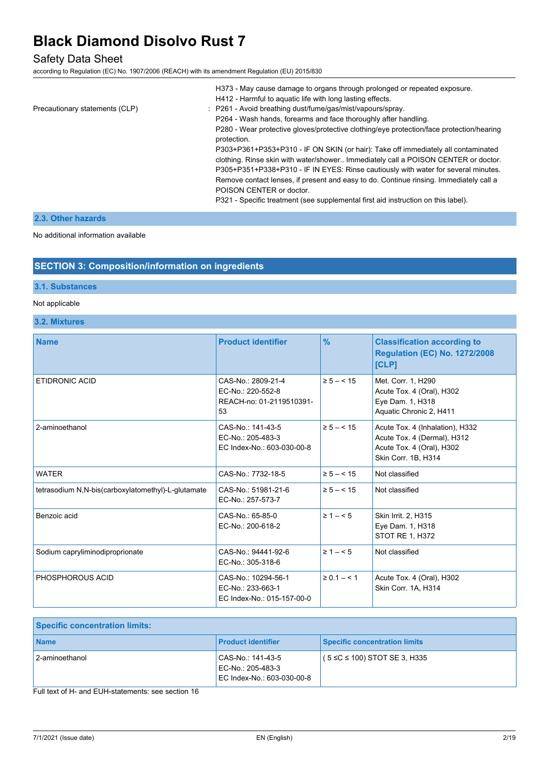### Safety Data Sheet

according to Regulation (EC) No. 1907/2006 (REACH) with its amendment Regulation (EU) 2015/830

|                                | H373 - May cause damage to organs through prolonged or repeated exposure.                               |
|--------------------------------|---------------------------------------------------------------------------------------------------------|
|                                | H412 - Harmful to aquatic life with long lasting effects.                                               |
| Precautionary statements (CLP) | : P261 - Avoid breathing dust/fume/gas/mist/vapours/spray.                                              |
|                                | P264 - Wash hands, forearms and face thoroughly after handling.                                         |
|                                | P280 - Wear protective gloves/protective clothing/eye protection/face protection/hearing<br>protection. |
|                                | P303+P361+P353+P310 - IF ON SKIN (or hair): Take off immediately all contaminated                       |
|                                | clothing. Rinse skin with water/shower Immediately call a POISON CENTER or doctor.                      |
|                                | P305+P351+P338+P310 - IF IN EYES: Rinse cautiously with water for several minutes.                      |
|                                | Remove contact lenses, if present and easy to do. Continue rinsing. Immediately call a                  |
|                                | POISON CENTER or doctor.                                                                                |
|                                | P321 - Specific treatment (see supplemental first aid instruction on this label).                       |

#### **2.3. Other hazards**

No additional information available

#### **SECTION 3: Composition/information on ingredients**

#### **3.1. Substances**

#### Not applicable

**3.2. Mixtures**

| <b>Name</b>                                        | <b>Product identifier</b>                                                 | $\frac{9}{6}$   | <b>Classification according to</b><br><b>Regulation (EC) No. 1272/2008</b><br>[CLP]                                |
|----------------------------------------------------|---------------------------------------------------------------------------|-----------------|--------------------------------------------------------------------------------------------------------------------|
| <b>ETIDRONIC ACID</b>                              | CAS-No.: 2809-21-4<br>EC-No.: 220-552-8<br>REACH-no: 01-2119510391-<br>53 | $\ge 5 - < 15$  | Met. Corr. 1, H290<br>Acute Tox. 4 (Oral), H302<br>Eye Dam. 1, H318<br>Aquatic Chronic 2, H411                     |
| 2-aminoethanol                                     | CAS-No 141-43-5<br>EC-No.: 205-483-3<br>EC Index-No.: 603-030-00-8        | $\ge 5 - < 15$  | Acute Tox. 4 (Inhalation), H332<br>Acute Tox. 4 (Dermal), H312<br>Acute Tox. 4 (Oral), H302<br>Skin Corr. 1B, H314 |
| <b>WATER</b>                                       | CAS-No.: 7732-18-5                                                        | $\ge 5 - < 15$  | Not classified                                                                                                     |
| tetrasodium N,N-bis(carboxylatomethyl)-L-glutamate | CAS-No.: 51981-21-6<br>EC-No.: 257-573-7                                  | $\ge 5 - < 15$  | Not classified                                                                                                     |
| Benzoic acid                                       | CAS-No.: 65-85-0<br>EC-No.: 200-618-2                                     | $\geq 1 - 5$    | Skin Irrit. 2, H315<br>Eye Dam. 1, H318<br>STOT RE 1, H372                                                         |
| Sodium capryliminodiproprionate                    | CAS-No.: 94441-92-6<br>EC-No.: 305-318-6                                  | $\geq 1 - 5$    | Not classified                                                                                                     |
| PHOSPHOROUS ACID                                   | CAS-No.: 10294-56-1<br>EC-No.: 233-663-1<br>EC Index-No.: 015-157-00-0    | $\ge 0.1 - 5.1$ | Acute Tox. 4 (Oral), H302<br>Skin Corr. 1A, H314                                                                   |

| <b>Specific concentration limits:</b> |                                                                      |                                      |
|---------------------------------------|----------------------------------------------------------------------|--------------------------------------|
| <b>Name</b>                           | <b>Product identifier</b>                                            | <b>Specific concentration limits</b> |
| 2-aminoethanol                        | CAS-No.: 141-43-5<br>EC-No.: 205-483-3<br>EC Index-No.: 603-030-00-8 | $(5 \le C \le 100)$ STOT SE 3, H335  |

Full text of H- and EUH-statements: see section 16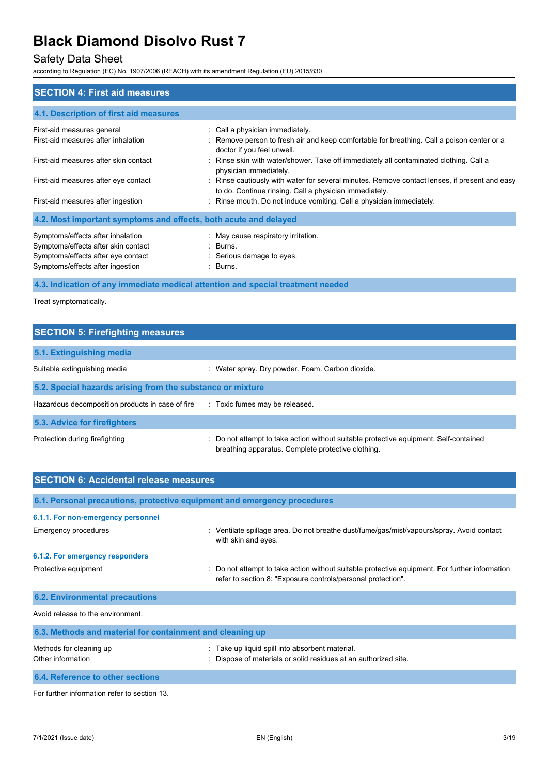### Safety Data Sheet

according to Regulation (EC) No. 1907/2006 (REACH) with its amendment Regulation (EU) 2015/830

| <b>SECTION 4: First aid measures</b>                                                                                                               |                                                                                                                                                             |
|----------------------------------------------------------------------------------------------------------------------------------------------------|-------------------------------------------------------------------------------------------------------------------------------------------------------------|
| 4.1. Description of first aid measures                                                                                                             |                                                                                                                                                             |
| First-aid measures general<br>First-aid measures after inhalation                                                                                  | : Call a physician immediately.<br>: Remove person to fresh air and keep comfortable for breathing. Call a poison center or a<br>doctor if you feel unwell. |
| First-aid measures after skin contact                                                                                                              | : Rinse skin with water/shower. Take off immediately all contaminated clothing. Call a<br>physician immediately.                                            |
| First-aid measures after eye contact                                                                                                               | : Rinse cautiously with water for several minutes. Remove contact lenses, if present and easy<br>to do. Continue rinsing. Call a physician immediately.     |
| First-aid measures after ingestion                                                                                                                 | : Rinse mouth. Do not induce vomiting. Call a physician immediately.                                                                                        |
| 4.2. Most important symptoms and effects, both acute and delayed                                                                                   |                                                                                                                                                             |
| Symptoms/effects after inhalation<br>Symptoms/effects after skin contact<br>Symptoms/effects after eye contact<br>Symptoms/effects after ingestion | : May cause respiratory irritation.<br>: Burns.<br>: Serious damage to eyes.<br>: Burns.                                                                    |

### **4.3. Indication of any immediate medical attention and special treatment needed**

Treat symptomatically.

#### **SECTION 5: Firefighting measures**

| 5.1. Extinguishing media                                   |                                                                                                                                             |  |
|------------------------------------------------------------|---------------------------------------------------------------------------------------------------------------------------------------------|--|
| Suitable extinguishing media                               | : Water spray. Dry powder. Foam. Carbon dioxide.                                                                                            |  |
| 5.2. Special hazards arising from the substance or mixture |                                                                                                                                             |  |
| Hazardous decomposition products in case of fire           | : Toxic fumes may be released.                                                                                                              |  |
| 5.3. Advice for firefighters                               |                                                                                                                                             |  |
| Protection during firefighting                             | : Do not attempt to take action without suitable protective equipment. Self-contained<br>breathing apparatus. Complete protective clothing. |  |

| <b>SECTION 6: Accidental release measures</b>                            |                                                                                                                                                              |  |
|--------------------------------------------------------------------------|--------------------------------------------------------------------------------------------------------------------------------------------------------------|--|
|                                                                          |                                                                                                                                                              |  |
| 6.1. Personal precautions, protective equipment and emergency procedures |                                                                                                                                                              |  |
| 6.1.1. For non-emergency personnel                                       |                                                                                                                                                              |  |
| Emergency procedures                                                     | : Ventilate spillage area. Do not breathe dust/fume/gas/mist/vapours/spray. Avoid contact<br>with skin and eyes.                                             |  |
| 6.1.2. For emergency responders                                          |                                                                                                                                                              |  |
| Protective equipment                                                     | Do not attempt to take action without suitable protective equipment. For further information<br>refer to section 8: "Exposure controls/personal protection". |  |
| <b>6.2. Environmental precautions</b>                                    |                                                                                                                                                              |  |
| Avoid release to the environment.                                        |                                                                                                                                                              |  |
| 6.3. Methods and material for containment and cleaning up                |                                                                                                                                                              |  |
| Methods for cleaning up<br>Other information                             | : Take up liquid spill into absorbent material.<br>Dispose of materials or solid residues at an authorized site.                                             |  |
| 6.4. Reference to other sections                                         |                                                                                                                                                              |  |

For further information refer to section 13.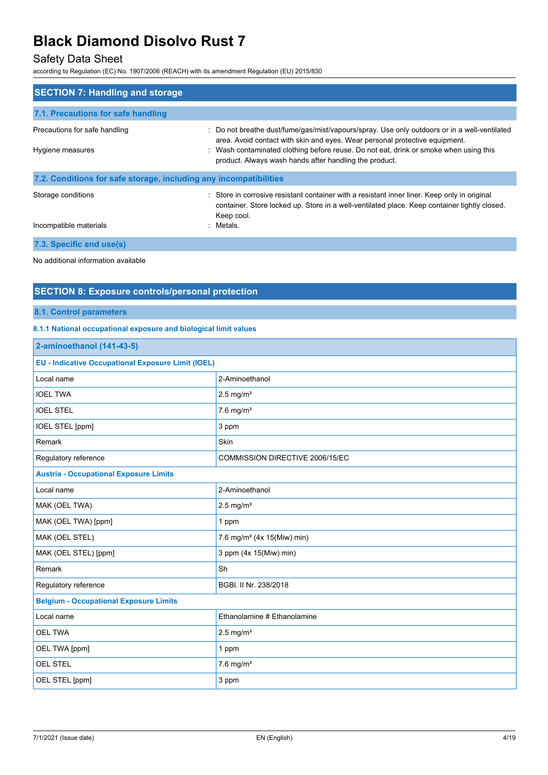### Safety Data Sheet

according to Regulation (EC) No. 1907/2006 (REACH) with its amendment Regulation (EU) 2015/830

| <b>SECTION 7: Handling and storage</b>                            |                                                                                                                                                                                                                                                                                                                                |
|-------------------------------------------------------------------|--------------------------------------------------------------------------------------------------------------------------------------------------------------------------------------------------------------------------------------------------------------------------------------------------------------------------------|
| 7.1. Precautions for safe handling                                |                                                                                                                                                                                                                                                                                                                                |
| Precautions for safe handling<br>Hygiene measures                 | : Do not breathe dust/fume/gas/mist/vapours/spray. Use only outdoors or in a well-ventilated<br>area. Avoid contact with skin and eyes. Wear personal protective equipment.<br>: Wash contaminated clothing before reuse. Do not eat, drink or smoke when using this<br>product. Always wash hands after handling the product. |
| 7.2. Conditions for safe storage, including any incompatibilities |                                                                                                                                                                                                                                                                                                                                |
| Storage conditions                                                | : Store in corrosive resistant container with a resistant inner liner. Keep only in original<br>container. Store locked up. Store in a well-ventilated place. Keep container tightly closed.<br>Keep cool.                                                                                                                     |
| Incompatible materials                                            | : Metals.                                                                                                                                                                                                                                                                                                                      |
| 7.3. Specific end use(s)                                          |                                                                                                                                                                                                                                                                                                                                |
| No additional information available                               |                                                                                                                                                                                                                                                                                                                                |

#### **SECTION 8: Exposure controls/personal protection**

#### **8.1. Control parameters**

#### **8.1.1 National occupational exposure and biological limit values**

| 2-aminoethanol (141-43-5)                                 |                                        |  |
|-----------------------------------------------------------|----------------------------------------|--|
| <b>EU - Indicative Occupational Exposure Limit (IOEL)</b> |                                        |  |
| Local name                                                | 2-Aminoethanol                         |  |
| <b>IOEL TWA</b>                                           | $2.5$ mg/m <sup>3</sup>                |  |
| <b>IOEL STEL</b>                                          | $7.6$ mg/m <sup>3</sup>                |  |
| IOEL STEL [ppm]                                           | 3 ppm                                  |  |
| Remark                                                    | Skin                                   |  |
| Regulatory reference                                      | COMMISSION DIRECTIVE 2006/15/EC        |  |
| <b>Austria - Occupational Exposure Limits</b>             |                                        |  |
| Local name                                                | 2-Aminoethanol                         |  |
| MAK (OEL TWA)                                             | $2.5$ mg/m <sup>3</sup>                |  |
| MAK (OEL TWA) [ppm]                                       | 1 ppm                                  |  |
| MAK (OEL STEL)                                            | 7.6 mg/m <sup>3</sup> (4x 15(Miw) min) |  |
| MAK (OEL STEL) [ppm]                                      | 3 ppm (4x 15(Miw) min)                 |  |
| Remark                                                    | Sh                                     |  |
| Regulatory reference                                      | BGBI. II Nr. 238/2018                  |  |
| <b>Belgium - Occupational Exposure Limits</b>             |                                        |  |
| Local name                                                | Ethanolamine # Ethanolamine            |  |
| <b>OEL TWA</b>                                            | $2.5$ mg/m <sup>3</sup>                |  |
| OEL TWA [ppm]                                             | 1 ppm                                  |  |
| <b>OEL STEL</b>                                           | $7.6$ mg/m <sup>3</sup>                |  |
| OEL STEL [ppm]                                            | 3 ppm                                  |  |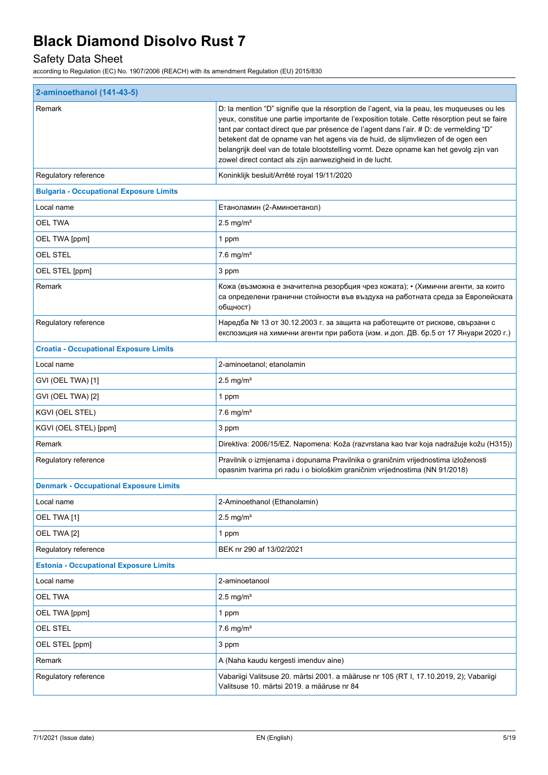## Safety Data Sheet

| 2-aminoethanol (141-43-5)                      |                                                                                                                                                                                                                                                                                                                                                                                                                                                                                                                               |  |
|------------------------------------------------|-------------------------------------------------------------------------------------------------------------------------------------------------------------------------------------------------------------------------------------------------------------------------------------------------------------------------------------------------------------------------------------------------------------------------------------------------------------------------------------------------------------------------------|--|
| Remark                                         | D: la mention "D" signifie que la résorption de l'agent, via la peau, les muqueuses ou les<br>yeux, constitue une partie importante de l'exposition totale. Cette résorption peut se faire<br>tant par contact direct que par présence de l'agent dans l'air. # D: de vermelding "D"<br>betekent dat de opname van het agens via de huid, de slijmvliezen of de ogen een<br>belangrijk deel van de totale blootstelling vormt. Deze opname kan het gevolg zijn van<br>zowel direct contact als zijn aanwezigheid in de lucht. |  |
| Regulatory reference                           | Koninklijk besluit/Arrêté royal 19/11/2020                                                                                                                                                                                                                                                                                                                                                                                                                                                                                    |  |
| <b>Bulgaria - Occupational Exposure Limits</b> |                                                                                                                                                                                                                                                                                                                                                                                                                                                                                                                               |  |
| Local name                                     | Етаноламин (2-Аминоетанол)                                                                                                                                                                                                                                                                                                                                                                                                                                                                                                    |  |
| OEL TWA                                        | $2.5$ mg/m <sup>3</sup>                                                                                                                                                                                                                                                                                                                                                                                                                                                                                                       |  |
| OEL TWA [ppm]                                  | 1 ppm                                                                                                                                                                                                                                                                                                                                                                                                                                                                                                                         |  |
| OEL STEL                                       | $7.6$ mg/m <sup>3</sup>                                                                                                                                                                                                                                                                                                                                                                                                                                                                                                       |  |
| OEL STEL [ppm]                                 | 3 ppm                                                                                                                                                                                                                                                                                                                                                                                                                                                                                                                         |  |
| Remark                                         | Кожа (възможна е значителна резорбция чрез кожата); • (Химични агенти, за които<br>са определени гранични стойности във въздуха на работната среда за Европейската<br>общност)                                                                                                                                                                                                                                                                                                                                                |  |
| Regulatory reference                           | Наредба № 13 от 30.12.2003 г. за защита на работещите от рискове, свързани с<br>експозиция на химични агенти при работа (изм. и доп. ДВ. бр.5 от 17 Януари 2020 г.)                                                                                                                                                                                                                                                                                                                                                           |  |
| <b>Croatia - Occupational Exposure Limits</b>  |                                                                                                                                                                                                                                                                                                                                                                                                                                                                                                                               |  |
| Local name                                     | 2-aminoetanol; etanolamin                                                                                                                                                                                                                                                                                                                                                                                                                                                                                                     |  |
| GVI (OEL TWA) [1]                              | $2.5 \text{ mg/m}^3$                                                                                                                                                                                                                                                                                                                                                                                                                                                                                                          |  |
| GVI (OEL TWA) [2]                              | 1 ppm                                                                                                                                                                                                                                                                                                                                                                                                                                                                                                                         |  |
| KGVI (OEL STEL)                                | $7.6$ mg/m <sup>3</sup>                                                                                                                                                                                                                                                                                                                                                                                                                                                                                                       |  |
| KGVI (OEL STEL) [ppm]                          | 3 ppm                                                                                                                                                                                                                                                                                                                                                                                                                                                                                                                         |  |
| Remark                                         | Direktiva: 2006/15/EZ. Napomena: Koža (razvrstana kao tvar koja nadražuje kožu (H315))                                                                                                                                                                                                                                                                                                                                                                                                                                        |  |
| Regulatory reference                           | Pravilnik o izmjenama i dopunama Pravilnika o graničnim vrijednostima izloženosti<br>opasnim tvarima pri radu i o biološkim graničnim vrijednostima (NN 91/2018)                                                                                                                                                                                                                                                                                                                                                              |  |
| <b>Denmark - Occupational Exposure Limits</b>  |                                                                                                                                                                                                                                                                                                                                                                                                                                                                                                                               |  |
| Local name                                     | 2-Aminoethanol (Ethanolamin)                                                                                                                                                                                                                                                                                                                                                                                                                                                                                                  |  |
| OEL TWA [1]                                    | $2.5 \text{ mg/m}^3$                                                                                                                                                                                                                                                                                                                                                                                                                                                                                                          |  |
| OEL TWA [2]                                    | 1 ppm                                                                                                                                                                                                                                                                                                                                                                                                                                                                                                                         |  |
| Regulatory reference                           | BEK nr 290 af 13/02/2021                                                                                                                                                                                                                                                                                                                                                                                                                                                                                                      |  |
| <b>Estonia - Occupational Exposure Limits</b>  |                                                                                                                                                                                                                                                                                                                                                                                                                                                                                                                               |  |
| Local name                                     | 2-aminoetanool                                                                                                                                                                                                                                                                                                                                                                                                                                                                                                                |  |
| <b>OEL TWA</b>                                 | $2.5 \text{ mg/m}^3$                                                                                                                                                                                                                                                                                                                                                                                                                                                                                                          |  |
| OEL TWA [ppm]                                  | 1 ppm                                                                                                                                                                                                                                                                                                                                                                                                                                                                                                                         |  |
| <b>OEL STEL</b>                                | $7.6$ mg/m <sup>3</sup>                                                                                                                                                                                                                                                                                                                                                                                                                                                                                                       |  |
| OEL STEL [ppm]                                 | 3 ppm                                                                                                                                                                                                                                                                                                                                                                                                                                                                                                                         |  |
| Remark                                         | A (Naha kaudu kergesti imenduv aine)                                                                                                                                                                                                                                                                                                                                                                                                                                                                                          |  |
| Regulatory reference                           | Vabariigi Valitsuse 20. märtsi 2001. a määruse nr 105 (RT I, 17.10.2019, 2); Vabariigi<br>Valitsuse 10. märtsi 2019. a määruse nr 84                                                                                                                                                                                                                                                                                                                                                                                          |  |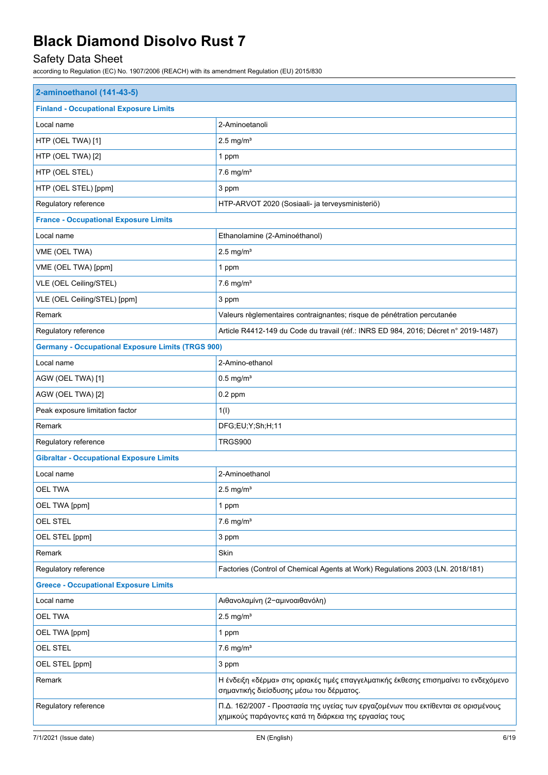## Safety Data Sheet

| 2-aminoethanol (141-43-5)                                |                                                                                                                                             |
|----------------------------------------------------------|---------------------------------------------------------------------------------------------------------------------------------------------|
| <b>Finland - Occupational Exposure Limits</b>            |                                                                                                                                             |
| Local name                                               | 2-Aminoetanoli                                                                                                                              |
| HTP (OEL TWA) [1]                                        | $2.5$ mg/m <sup>3</sup>                                                                                                                     |
| HTP (OEL TWA) [2]                                        | 1 ppm                                                                                                                                       |
| HTP (OEL STEL)                                           | $7.6$ mg/m <sup>3</sup>                                                                                                                     |
| HTP (OEL STEL) [ppm]                                     | 3 ppm                                                                                                                                       |
| Regulatory reference                                     | HTP-ARVOT 2020 (Sosiaali- ja terveysministeriö)                                                                                             |
| <b>France - Occupational Exposure Limits</b>             |                                                                                                                                             |
| Local name                                               | Ethanolamine (2-Aminoéthanol)                                                                                                               |
| VME (OEL TWA)                                            | $2.5$ mg/m <sup>3</sup>                                                                                                                     |
| VME (OEL TWA) [ppm]                                      | 1 ppm                                                                                                                                       |
| VLE (OEL Ceiling/STEL)                                   | $7.6$ mg/m <sup>3</sup>                                                                                                                     |
| VLE (OEL Ceiling/STEL) [ppm]                             | 3 ppm                                                                                                                                       |
| Remark                                                   | Valeurs règlementaires contraignantes; risque de pénétration percutanée                                                                     |
| Regulatory reference                                     | Article R4412-149 du Code du travail (réf.: INRS ED 984, 2016; Décret n° 2019-1487)                                                         |
| <b>Germany - Occupational Exposure Limits (TRGS 900)</b> |                                                                                                                                             |
| Local name                                               | 2-Amino-ethanol                                                                                                                             |
| AGW (OEL TWA) [1]                                        | $0.5$ mg/m <sup>3</sup>                                                                                                                     |
| AGW (OEL TWA) [2]                                        | $0.2$ ppm                                                                                                                                   |
| Peak exposure limitation factor                          | 1(1)                                                                                                                                        |
| Remark                                                   | DFG;EU;Y;Sh;H;11                                                                                                                            |
| Regulatory reference                                     | TRGS900                                                                                                                                     |
| <b>Gibraltar - Occupational Exposure Limits</b>          |                                                                                                                                             |
| Local name                                               | 2-Aminoethanol                                                                                                                              |
| <b>OEL TWA</b>                                           | $2.5$ mg/m <sup>3</sup>                                                                                                                     |
| OEL TWA [ppm]                                            | 1 ppm                                                                                                                                       |
| <b>OEL STEL</b>                                          | $7.6$ mg/m <sup>3</sup>                                                                                                                     |
| OEL STEL [ppm]                                           | 3 ppm                                                                                                                                       |
| Remark                                                   | Skin                                                                                                                                        |
| Regulatory reference                                     | Factories (Control of Chemical Agents at Work) Regulations 2003 (LN. 2018/181)                                                              |
| <b>Greece - Occupational Exposure Limits</b>             |                                                                                                                                             |
| Local name                                               | Αιθανολαμίνη (2-αμινοαιθανόλη)                                                                                                              |
| <b>OEL TWA</b>                                           | $2.5$ mg/m <sup>3</sup>                                                                                                                     |
| OEL TWA [ppm]                                            | 1 ppm                                                                                                                                       |
| <b>OEL STEL</b>                                          | $7.6$ mg/m <sup>3</sup>                                                                                                                     |
| OEL STEL [ppm]                                           | 3 ppm                                                                                                                                       |
| Remark                                                   | Η ένδειξη «δέρμα» στις οριακές τιμές επαγγελματικής έκθεσης επισημαίνει το ενδεχόμενο<br>σημαντικής διείσδυσης μέσω του δέρματος.           |
| Regulatory reference                                     | Π.Δ. 162/2007 - Προστασία της υγείας των εργαζομένων που εκτίθενται σε ορισμένους<br>χημικούς παράγοντες κατά τη διάρκεια της εργασίας τους |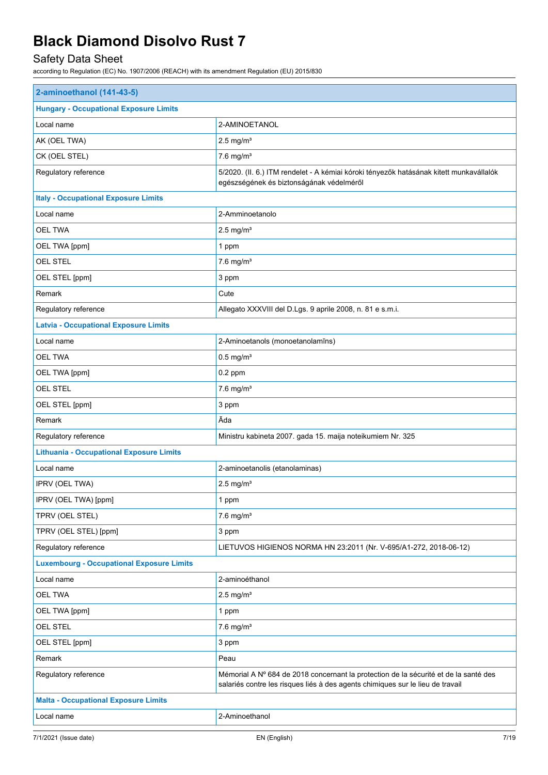## Safety Data Sheet

| 2-aminoethanol (141-43-5)                        |                                                                                                                                                                        |  |
|--------------------------------------------------|------------------------------------------------------------------------------------------------------------------------------------------------------------------------|--|
| <b>Hungary - Occupational Exposure Limits</b>    |                                                                                                                                                                        |  |
| Local name                                       | 2-AMINOETANOL                                                                                                                                                          |  |
| AK (OEL TWA)                                     | $2.5$ mg/m <sup>3</sup>                                                                                                                                                |  |
| CK (OEL STEL)                                    | $7.6$ mg/m <sup>3</sup>                                                                                                                                                |  |
| Regulatory reference                             | 5/2020. (II. 6.) ITM rendelet - A kémiai kóroki tényezők hatásának kitett munkavállalók<br>egészségének és biztonságának védelméről                                    |  |
| <b>Italy - Occupational Exposure Limits</b>      |                                                                                                                                                                        |  |
| Local name                                       | 2-Amminoetanolo                                                                                                                                                        |  |
| <b>OEL TWA</b>                                   | $2.5$ mg/m <sup>3</sup>                                                                                                                                                |  |
| OEL TWA [ppm]                                    | 1 ppm                                                                                                                                                                  |  |
| OEL STEL                                         | $7.6$ mg/m <sup>3</sup>                                                                                                                                                |  |
| OEL STEL [ppm]                                   | 3 ppm                                                                                                                                                                  |  |
| Remark                                           | Cute                                                                                                                                                                   |  |
| Regulatory reference                             | Allegato XXXVIII del D.Lgs. 9 aprile 2008, n. 81 e s.m.i.                                                                                                              |  |
| <b>Latvia - Occupational Exposure Limits</b>     |                                                                                                                                                                        |  |
| Local name                                       | 2-Aminoetanols (monoetanolamīns)                                                                                                                                       |  |
| OEL TWA                                          | $0.5$ mg/m <sup>3</sup>                                                                                                                                                |  |
| OEL TWA [ppm]                                    | $0.2$ ppm                                                                                                                                                              |  |
| OEL STEL                                         | $7.6$ mg/m <sup>3</sup>                                                                                                                                                |  |
| OEL STEL [ppm]                                   | 3 ppm                                                                                                                                                                  |  |
| Remark                                           | Āda                                                                                                                                                                    |  |
| Regulatory reference                             | Ministru kabineta 2007. gada 15. maija noteikumiem Nr. 325                                                                                                             |  |
| <b>Lithuania - Occupational Exposure Limits</b>  |                                                                                                                                                                        |  |
| Local name                                       | 2-aminoetanolis (etanolaminas)                                                                                                                                         |  |
| IPRV (OEL TWA)                                   | $2.5$ mg/m <sup>3</sup>                                                                                                                                                |  |
| IPRV (OEL TWA) [ppm]                             | 1 ppm                                                                                                                                                                  |  |
| TPRV (OEL STEL)                                  | $7.6$ mg/m <sup>3</sup>                                                                                                                                                |  |
| TPRV (OEL STEL) [ppm]                            | 3 ppm                                                                                                                                                                  |  |
| Regulatory reference                             | LIETUVOS HIGIENOS NORMA HN 23:2011 (Nr. V-695/A1-272, 2018-06-12)                                                                                                      |  |
| <b>Luxembourg - Occupational Exposure Limits</b> |                                                                                                                                                                        |  |
| Local name                                       | 2-aminoéthanol                                                                                                                                                         |  |
| <b>OEL TWA</b>                                   | $2.5$ mg/m <sup>3</sup>                                                                                                                                                |  |
| OEL TWA [ppm]                                    | 1 ppm                                                                                                                                                                  |  |
| OEL STEL                                         | $7.6$ mg/m <sup>3</sup>                                                                                                                                                |  |
| OEL STEL [ppm]                                   | 3 ppm                                                                                                                                                                  |  |
| Remark                                           | Peau                                                                                                                                                                   |  |
| Regulatory reference                             | Mémorial A Nº 684 de 2018 concernant la protection de la sécurité et de la santé des<br>salariés contre les risques liés à des agents chimiques sur le lieu de travail |  |
| <b>Malta - Occupational Exposure Limits</b>      |                                                                                                                                                                        |  |
| Local name                                       | 2-Aminoethanol                                                                                                                                                         |  |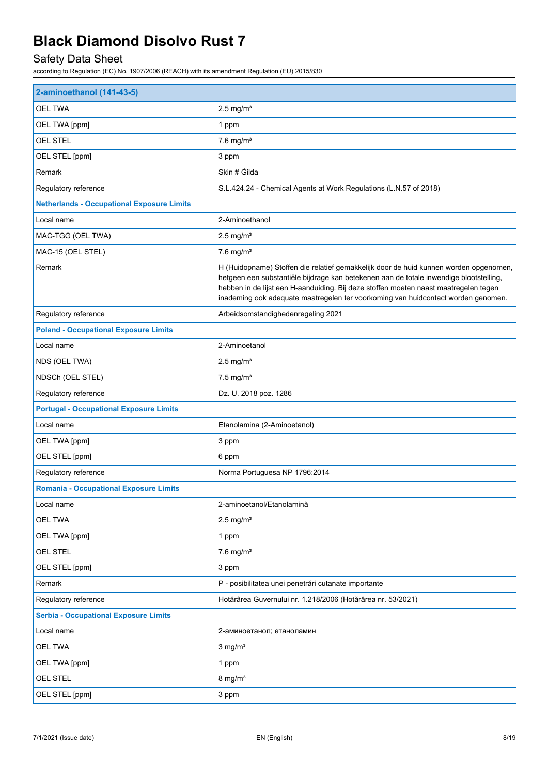## Safety Data Sheet

| 2-aminoethanol (141-43-5)                         |                                                                                                                                                                                                                                                                                                                                                              |  |
|---------------------------------------------------|--------------------------------------------------------------------------------------------------------------------------------------------------------------------------------------------------------------------------------------------------------------------------------------------------------------------------------------------------------------|--|
| <b>OEL TWA</b>                                    | $2.5$ mg/m <sup>3</sup>                                                                                                                                                                                                                                                                                                                                      |  |
| OEL TWA [ppm]                                     | 1 ppm                                                                                                                                                                                                                                                                                                                                                        |  |
| OEL STEL                                          | $7.6$ mg/m <sup>3</sup>                                                                                                                                                                                                                                                                                                                                      |  |
| OEL STEL [ppm]                                    | 3 ppm                                                                                                                                                                                                                                                                                                                                                        |  |
| Remark                                            | Skin # Gilda                                                                                                                                                                                                                                                                                                                                                 |  |
| Regulatory reference                              | S.L.424.24 - Chemical Agents at Work Regulations (L.N.57 of 2018)                                                                                                                                                                                                                                                                                            |  |
| <b>Netherlands - Occupational Exposure Limits</b> |                                                                                                                                                                                                                                                                                                                                                              |  |
| Local name                                        | 2-Aminoethanol                                                                                                                                                                                                                                                                                                                                               |  |
| MAC-TGG (OEL TWA)                                 | $2.5$ mg/m <sup>3</sup>                                                                                                                                                                                                                                                                                                                                      |  |
| MAC-15 (OEL STEL)                                 | $7.6$ mg/m <sup>3</sup>                                                                                                                                                                                                                                                                                                                                      |  |
| Remark                                            | H (Huidopname) Stoffen die relatief gemakkelijk door de huid kunnen worden opgenomen,<br>hetgeen een substantiële bijdrage kan betekenen aan de totale inwendige blootstelling,<br>hebben in de lijst een H-aanduiding. Bij deze stoffen moeten naast maatregelen tegen<br>inademing ook adequate maatregelen ter voorkoming van huidcontact worden genomen. |  |
| Regulatory reference                              | Arbeidsomstandighedenregeling 2021                                                                                                                                                                                                                                                                                                                           |  |
| <b>Poland - Occupational Exposure Limits</b>      |                                                                                                                                                                                                                                                                                                                                                              |  |
| Local name                                        | 2-Aminoetanol                                                                                                                                                                                                                                                                                                                                                |  |
| NDS (OEL TWA)                                     | $2.5$ mg/m <sup>3</sup>                                                                                                                                                                                                                                                                                                                                      |  |
| NDSCh (OEL STEL)                                  | $7.5$ mg/m <sup>3</sup>                                                                                                                                                                                                                                                                                                                                      |  |
| Regulatory reference                              | Dz. U. 2018 poz. 1286                                                                                                                                                                                                                                                                                                                                        |  |
| <b>Portugal - Occupational Exposure Limits</b>    |                                                                                                                                                                                                                                                                                                                                                              |  |
| Local name                                        | Etanolamina (2-Aminoetanol)                                                                                                                                                                                                                                                                                                                                  |  |
| OEL TWA [ppm]                                     | 3 ppm                                                                                                                                                                                                                                                                                                                                                        |  |
| OEL STEL [ppm]                                    | 6 ppm                                                                                                                                                                                                                                                                                                                                                        |  |
| Regulatory reference                              | Norma Portuguesa NP 1796:2014                                                                                                                                                                                                                                                                                                                                |  |
| <b>Romania - Occupational Exposure Limits</b>     |                                                                                                                                                                                                                                                                                                                                                              |  |
| Local name                                        | 2-aminoetanol/Etanolamină                                                                                                                                                                                                                                                                                                                                    |  |
| <b>OEL TWA</b>                                    | $2.5$ mg/m <sup>3</sup>                                                                                                                                                                                                                                                                                                                                      |  |
| OEL TWA [ppm]                                     | 1 ppm                                                                                                                                                                                                                                                                                                                                                        |  |
| OEL STEL                                          | $7.6$ mg/m <sup>3</sup>                                                                                                                                                                                                                                                                                                                                      |  |
| OEL STEL [ppm]                                    | 3 ppm                                                                                                                                                                                                                                                                                                                                                        |  |
| Remark                                            | P - posibilitatea unei penetrări cutanate importante                                                                                                                                                                                                                                                                                                         |  |
| Regulatory reference                              | Hotărârea Guvernului nr. 1.218/2006 (Hotărârea nr. 53/2021)                                                                                                                                                                                                                                                                                                  |  |
| <b>Serbia - Occupational Exposure Limits</b>      |                                                                                                                                                                                                                                                                                                                                                              |  |
| Local name                                        | 2-аминоетанол; етаноламин                                                                                                                                                                                                                                                                                                                                    |  |
| <b>OEL TWA</b>                                    | $3$ mg/m <sup>3</sup>                                                                                                                                                                                                                                                                                                                                        |  |
| OEL TWA [ppm]                                     | 1 ppm                                                                                                                                                                                                                                                                                                                                                        |  |
| OEL STEL                                          | $8 \text{ mg/m}^3$                                                                                                                                                                                                                                                                                                                                           |  |
| OEL STEL [ppm]                                    | 3 ppm                                                                                                                                                                                                                                                                                                                                                        |  |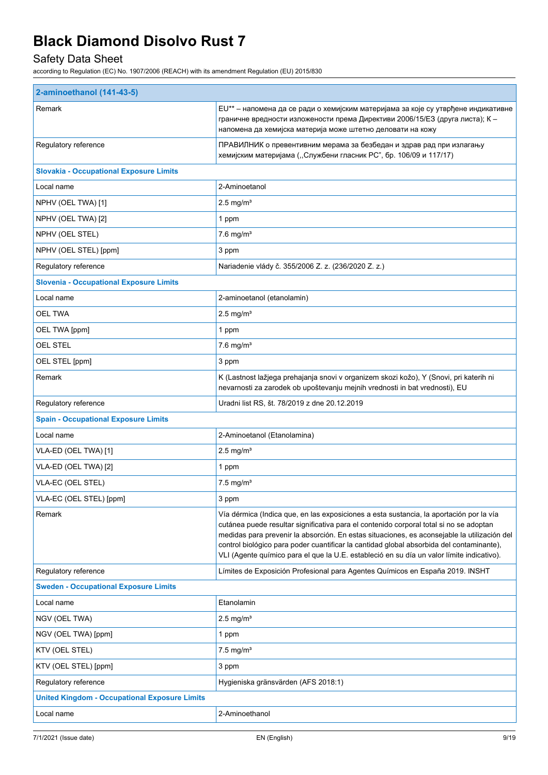## Safety Data Sheet

| 2-aminoethanol (141-43-5)                            |                                                                                                                                                                                                                                                                                                                                                                                                                                                                           |  |
|------------------------------------------------------|---------------------------------------------------------------------------------------------------------------------------------------------------------------------------------------------------------------------------------------------------------------------------------------------------------------------------------------------------------------------------------------------------------------------------------------------------------------------------|--|
| Remark                                               | EU** - напомена да се ради о хемијским материјама за које су утврђене индикативне<br>граничне вредности изложености према Директиви 2006/15/ЕЗ (друга листа); К -<br>напомена да хемијска материја може штетно деловати на кожу                                                                                                                                                                                                                                           |  |
| Regulatory reference                                 | ПРАВИЛНИК о превентивним мерама за безбедан и здрав рад при излагању<br>хемијским материјама ("Службени гласник РС", бр. 106/09 и 117/17)                                                                                                                                                                                                                                                                                                                                 |  |
| <b>Slovakia - Occupational Exposure Limits</b>       |                                                                                                                                                                                                                                                                                                                                                                                                                                                                           |  |
| Local name                                           | 2-Aminoetanol                                                                                                                                                                                                                                                                                                                                                                                                                                                             |  |
| NPHV (OEL TWA) [1]                                   | $2.5$ mg/m <sup>3</sup>                                                                                                                                                                                                                                                                                                                                                                                                                                                   |  |
| NPHV (OEL TWA) [2]                                   | 1 ppm                                                                                                                                                                                                                                                                                                                                                                                                                                                                     |  |
| NPHV (OEL STEL)                                      | $7.6$ mg/m <sup>3</sup>                                                                                                                                                                                                                                                                                                                                                                                                                                                   |  |
| NPHV (OEL STEL) [ppm]                                | 3 ppm                                                                                                                                                                                                                                                                                                                                                                                                                                                                     |  |
| Regulatory reference                                 | Nariadenie vlády č. 355/2006 Z. z. (236/2020 Z. z.)                                                                                                                                                                                                                                                                                                                                                                                                                       |  |
| <b>Slovenia - Occupational Exposure Limits</b>       |                                                                                                                                                                                                                                                                                                                                                                                                                                                                           |  |
| Local name                                           | 2-aminoetanol (etanolamin)                                                                                                                                                                                                                                                                                                                                                                                                                                                |  |
| OEL TWA                                              | $2.5 \text{ mg/m}^3$                                                                                                                                                                                                                                                                                                                                                                                                                                                      |  |
| OEL TWA [ppm]                                        | 1 ppm                                                                                                                                                                                                                                                                                                                                                                                                                                                                     |  |
| <b>OEL STEL</b>                                      | $7.6$ mg/m <sup>3</sup>                                                                                                                                                                                                                                                                                                                                                                                                                                                   |  |
| OEL STEL [ppm]                                       | 3 ppm                                                                                                                                                                                                                                                                                                                                                                                                                                                                     |  |
| Remark                                               | K (Lastnost lažjega prehajanja snovi v organizem skozi kožo), Y (Snovi, pri katerih ni<br>nevarnosti za zarodek ob upoštevanju mejnih vrednosti in bat vrednosti), EU                                                                                                                                                                                                                                                                                                     |  |
| Regulatory reference                                 | Uradni list RS, št. 78/2019 z dne 20.12.2019                                                                                                                                                                                                                                                                                                                                                                                                                              |  |
| <b>Spain - Occupational Exposure Limits</b>          |                                                                                                                                                                                                                                                                                                                                                                                                                                                                           |  |
| Local name                                           | 2-Aminoetanol (Etanolamina)                                                                                                                                                                                                                                                                                                                                                                                                                                               |  |
| VLA-ED (OEL TWA) [1]                                 | $2.5 \text{ mg/m}^3$                                                                                                                                                                                                                                                                                                                                                                                                                                                      |  |
| VLA-ED (OEL TWA) [2]                                 | 1 ppm                                                                                                                                                                                                                                                                                                                                                                                                                                                                     |  |
| VLA-EC (OEL STEL)                                    | $7.5$ mg/m <sup>3</sup>                                                                                                                                                                                                                                                                                                                                                                                                                                                   |  |
| VLA-EC (OEL STEL) [ppm]                              | 3 ppm                                                                                                                                                                                                                                                                                                                                                                                                                                                                     |  |
| Remark                                               | Vía dérmica (Indica que, en las exposiciones a esta sustancia, la aportación por la vía<br>cutánea puede resultar significativa para el contenido corporal total si no se adoptan<br>medidas para prevenir la absorción. En estas situaciones, es aconsejable la utilización del<br>control biológico para poder cuantificar la cantidad global absorbida del contaminante),<br>VLI (Agente químico para el que la U.E. estableció en su día un valor límite indicativo). |  |
| Regulatory reference                                 | Límites de Exposición Profesional para Agentes Químicos en España 2019. INSHT                                                                                                                                                                                                                                                                                                                                                                                             |  |
| <b>Sweden - Occupational Exposure Limits</b>         |                                                                                                                                                                                                                                                                                                                                                                                                                                                                           |  |
| Local name                                           | Etanolamin                                                                                                                                                                                                                                                                                                                                                                                                                                                                |  |
| NGV (OEL TWA)                                        | $2.5 \text{ mg/m}^3$                                                                                                                                                                                                                                                                                                                                                                                                                                                      |  |
| NGV (OEL TWA) [ppm]                                  | 1 ppm                                                                                                                                                                                                                                                                                                                                                                                                                                                                     |  |
| KTV (OEL STEL)                                       | $7.5$ mg/m <sup>3</sup>                                                                                                                                                                                                                                                                                                                                                                                                                                                   |  |
| KTV (OEL STEL) [ppm]                                 | 3 ppm                                                                                                                                                                                                                                                                                                                                                                                                                                                                     |  |
| Regulatory reference                                 | Hygieniska gränsvärden (AFS 2018:1)                                                                                                                                                                                                                                                                                                                                                                                                                                       |  |
| <b>United Kingdom - Occupational Exposure Limits</b> |                                                                                                                                                                                                                                                                                                                                                                                                                                                                           |  |
| Local name                                           | 2-Aminoethanol                                                                                                                                                                                                                                                                                                                                                                                                                                                            |  |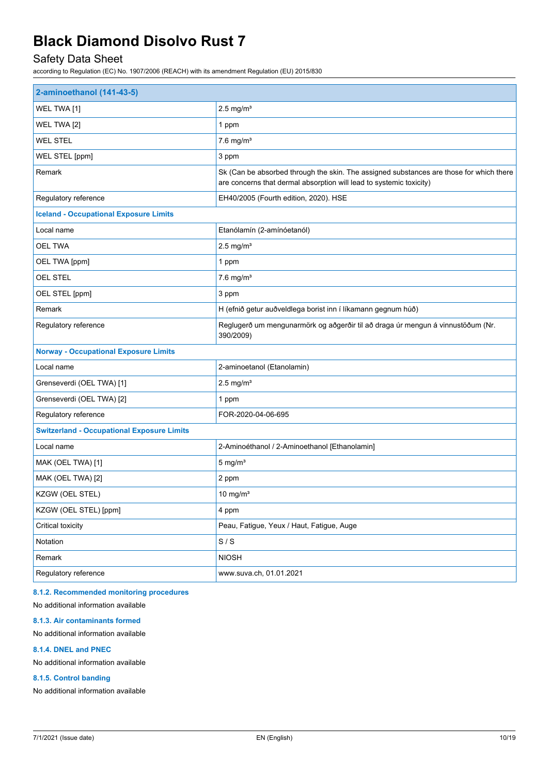### Safety Data Sheet

according to Regulation (EC) No. 1907/2006 (REACH) with its amendment Regulation (EU) 2015/830

| 2-aminoethanol (141-43-5)                         |                                                                                                                                                                |  |
|---------------------------------------------------|----------------------------------------------------------------------------------------------------------------------------------------------------------------|--|
| WEL TWA [1]                                       | $2.5$ mg/m <sup>3</sup>                                                                                                                                        |  |
| WEL TWA [2]                                       | 1 ppm                                                                                                                                                          |  |
| <b>WEL STEL</b>                                   | $7.6$ mg/m <sup>3</sup>                                                                                                                                        |  |
| WEL STEL [ppm]                                    | 3 ppm                                                                                                                                                          |  |
| Remark                                            | Sk (Can be absorbed through the skin. The assigned substances are those for which there<br>are concerns that dermal absorption will lead to systemic toxicity) |  |
| Regulatory reference                              | EH40/2005 (Fourth edition, 2020). HSE                                                                                                                          |  |
| <b>Iceland - Occupational Exposure Limits</b>     |                                                                                                                                                                |  |
| Local name                                        | Etanólamín (2-amínóetanól)                                                                                                                                     |  |
| <b>OEL TWA</b>                                    | $2.5$ mg/m <sup>3</sup>                                                                                                                                        |  |
| OEL TWA [ppm]                                     | 1 ppm                                                                                                                                                          |  |
| <b>OEL STEL</b>                                   | $7.6$ mg/m <sup>3</sup>                                                                                                                                        |  |
| OEL STEL [ppm]                                    | 3 ppm                                                                                                                                                          |  |
| Remark                                            | H (efnið getur auðveldlega borist inn í líkamann gegnum húð)                                                                                                   |  |
| Regulatory reference                              | Reglugerð um mengunarmörk og aðgerðir til að draga úr mengun á vinnustöðum (Nr.<br>390/2009)                                                                   |  |
| <b>Norway - Occupational Exposure Limits</b>      |                                                                                                                                                                |  |
| Local name                                        | 2-aminoetanol (Etanolamin)                                                                                                                                     |  |
| Grenseverdi (OEL TWA) [1]                         | $2.5$ mg/m <sup>3</sup>                                                                                                                                        |  |
| Grenseverdi (OEL TWA) [2]                         | 1 ppm                                                                                                                                                          |  |
| Regulatory reference                              | FOR-2020-04-06-695                                                                                                                                             |  |
| <b>Switzerland - Occupational Exposure Limits</b> |                                                                                                                                                                |  |
| Local name                                        | 2-Aminoéthanol / 2-Aminoethanol [Ethanolamin]                                                                                                                  |  |
| MAK (OEL TWA) [1]                                 | $5 \text{ mg/m}^3$                                                                                                                                             |  |
| MAK (OEL TWA) [2]                                 | 2 ppm                                                                                                                                                          |  |
| KZGW (OEL STEL)                                   | $10 \text{ mg/m}^3$                                                                                                                                            |  |
| KZGW (OEL STEL) [ppm]                             | 4 ppm                                                                                                                                                          |  |
| Critical toxicity                                 | Peau, Fatigue, Yeux / Haut, Fatigue, Auge                                                                                                                      |  |
| Notation                                          | S/S                                                                                                                                                            |  |
| Remark                                            | <b>NIOSH</b>                                                                                                                                                   |  |
| Regulatory reference                              | www.suva.ch, 01.01.2021                                                                                                                                        |  |

#### **8.1.2. Recommended monitoring procedures**

No additional information available

#### **8.1.3. Air contaminants formed**

No additional information available

#### **8.1.4. DNEL and PNEC**

No additional information available

#### **8.1.5. Control banding**

No additional information available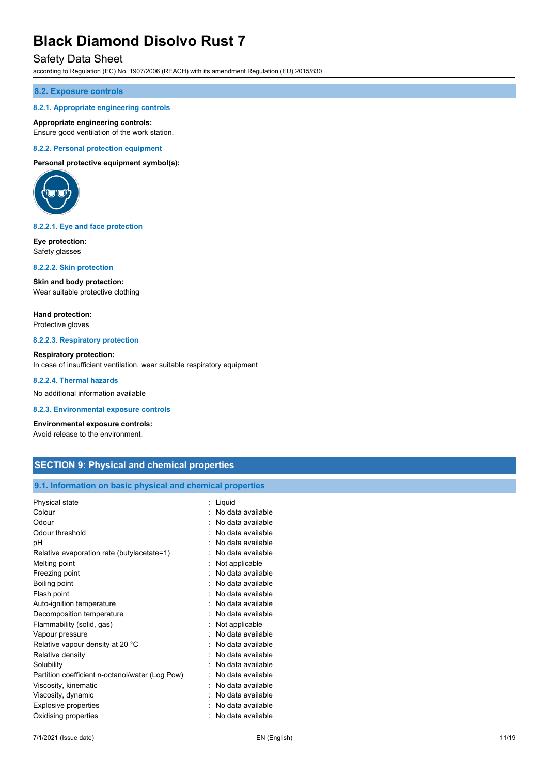#### Safety Data Sheet

according to Regulation (EC) No. 1907/2006 (REACH) with its amendment Regulation (EU) 2015/830

#### **8.2. Exposure controls**

#### **8.2.1. Appropriate engineering controls**

#### **Appropriate engineering controls:**

Ensure good ventilation of the work station.

#### **8.2.2. Personal protection equipment**

**Personal protective equipment symbol(s):**



#### **8.2.2.1. Eye and face protection**

**Eye protection:** Safety glasses

#### **8.2.2.2. Skin protection**

**Skin and body protection:** Wear suitable protective clothing

**Hand protection:** Protective gloves

#### **8.2.2.3. Respiratory protection**

**Respiratory protection:** In case of insufficient ventilation, wear suitable respiratory equipment

#### **8.2.2.4. Thermal hazards**

No additional information available

#### **8.2.3. Environmental exposure controls**

#### **Environmental exposure controls:**

Avoid release to the environment.

#### **SECTION 9: Physical and chemical properties**

#### **9.1. Information on basic physical and chemical properties**

| Physical state                                  | : Liquid          |
|-------------------------------------------------|-------------------|
| Colour                                          | No data available |
| Odour                                           | No data available |
| Odour threshold                                 | No data available |
| рH                                              | No data available |
| Relative evaporation rate (butylacetate=1)      | No data available |
| Melting point                                   | Not applicable    |
| Freezing point                                  | No data available |
| Boiling point                                   | No data available |
| Flash point                                     | No data available |
| Auto-ignition temperature                       | No data available |
| Decomposition temperature                       | No data available |
| Flammability (solid, gas)                       | Not applicable    |
| Vapour pressure                                 | No data available |
| Relative vapour density at 20 °C                | No data available |
| Relative density                                | No data available |
| Solubility                                      | No data available |
| Partition coefficient n-octanol/water (Log Pow) | No data available |
| Viscosity, kinematic                            | No data available |
| Viscosity, dynamic                              | No data available |
| <b>Explosive properties</b>                     | No data available |
| Oxidising properties                            | No data available |
|                                                 |                   |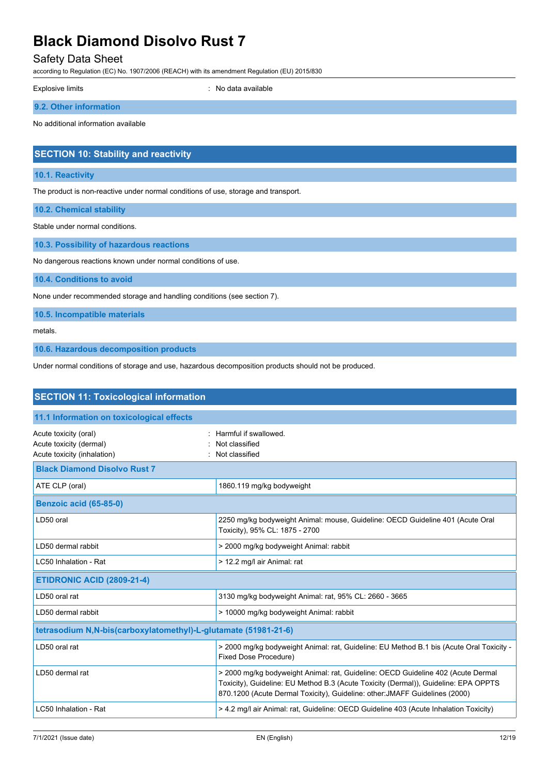### Safety Data Sheet

according to Regulation (EC) No. 1907/2006 (REACH) with its amendment Regulation (EU) 2015/830

| Explosive limits                     | : No data available |
|--------------------------------------|---------------------|
| 9.2. Other information               |                     |
| No additional information available  |                     |
| SECTION 10: Stability and reactivity |                     |

#### **10.1. Reactivity**

The product is non-reactive under normal conditions of use, storage and transport.

**10.2. Chemical stability**

Stable under normal conditions.

**10.3. Possibility of hazardous reactions**

No dangerous reactions known under normal conditions of use.

**10.4. Conditions to avoid**

None under recommended storage and handling conditions (see section 7).

**10.5. Incompatible materials**

metals.

**10.6. Hazardous decomposition products**

Under normal conditions of storage and use, hazardous decomposition products should not be produced.

| <b>SECTION 11: Toxicological information</b>                                    |                                                                                                                                                                                                                                                        |  |
|---------------------------------------------------------------------------------|--------------------------------------------------------------------------------------------------------------------------------------------------------------------------------------------------------------------------------------------------------|--|
| 11.1 Information on toxicological effects                                       |                                                                                                                                                                                                                                                        |  |
| Acute toxicity (oral)<br>Acute toxicity (dermal)<br>Acute toxicity (inhalation) | Harmful if swallowed.<br>Not classified<br>Not classified                                                                                                                                                                                              |  |
| <b>Black Diamond Disolvo Rust 7</b>                                             |                                                                                                                                                                                                                                                        |  |
| ATE CLP (oral)                                                                  | 1860.119 mg/kg bodyweight                                                                                                                                                                                                                              |  |
| <b>Benzoic acid (65-85-0)</b>                                                   |                                                                                                                                                                                                                                                        |  |
| LD50 oral                                                                       | 2250 mg/kg bodyweight Animal: mouse, Guideline: OECD Guideline 401 (Acute Oral<br>Toxicity), 95% CL: 1875 - 2700                                                                                                                                       |  |
| LD50 dermal rabbit                                                              | > 2000 mg/kg bodyweight Animal: rabbit                                                                                                                                                                                                                 |  |
| LC50 Inhalation - Rat                                                           | > 12.2 mg/l air Animal: rat                                                                                                                                                                                                                            |  |
| <b>ETIDRONIC ACID (2809-21-4)</b>                                               |                                                                                                                                                                                                                                                        |  |
| LD50 oral rat                                                                   | 3130 mg/kg bodyweight Animal: rat, 95% CL: 2660 - 3665                                                                                                                                                                                                 |  |
| LD50 dermal rabbit                                                              | > 10000 mg/kg bodyweight Animal: rabbit                                                                                                                                                                                                                |  |
| tetrasodium N,N-bis(carboxylatomethyl)-L-glutamate (51981-21-6)                 |                                                                                                                                                                                                                                                        |  |
| LD50 oral rat                                                                   | > 2000 mg/kg bodyweight Animal: rat, Guideline: EU Method B.1 bis (Acute Oral Toxicity -<br>Fixed Dose Procedure)                                                                                                                                      |  |
| LD50 dermal rat                                                                 | > 2000 mg/kg bodyweight Animal: rat, Guideline: OECD Guideline 402 (Acute Dermal<br>Toxicity), Guideline: EU Method B.3 (Acute Toxicity (Dermal)), Guideline: EPA OPPTS<br>870.1200 (Acute Dermal Toxicity), Guideline: other: JMAFF Guidelines (2000) |  |
| LC50 Inhalation - Rat                                                           | > 4.2 mg/l air Animal: rat, Guideline: OECD Guideline 403 (Acute Inhalation Toxicity)                                                                                                                                                                  |  |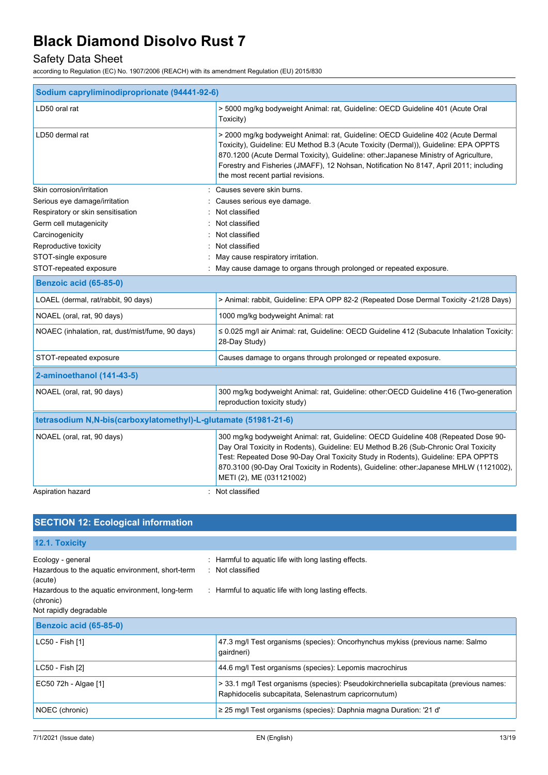## Safety Data Sheet

| Sodium capryliminodiproprionate (94441-92-6)                    |                                                                                                                                                                                                                                                                                                                                                                                                  |  |
|-----------------------------------------------------------------|--------------------------------------------------------------------------------------------------------------------------------------------------------------------------------------------------------------------------------------------------------------------------------------------------------------------------------------------------------------------------------------------------|--|
| LD50 oral rat                                                   | > 5000 mg/kg bodyweight Animal: rat, Guideline: OECD Guideline 401 (Acute Oral<br>Toxicity)                                                                                                                                                                                                                                                                                                      |  |
| LD50 dermal rat                                                 | > 2000 mg/kg bodyweight Animal: rat, Guideline: OECD Guideline 402 (Acute Dermal<br>Toxicity), Guideline: EU Method B.3 (Acute Toxicity (Dermal)), Guideline: EPA OPPTS<br>870.1200 (Acute Dermal Toxicity), Guideline: other: Japanese Ministry of Agriculture,<br>Forestry and Fisheries (JMAFF), 12 Nohsan, Notification No 8147, April 2011; including<br>the most recent partial revisions. |  |
| Skin corrosion/irritation                                       | Causes severe skin burns.                                                                                                                                                                                                                                                                                                                                                                        |  |
| Serious eye damage/irritation                                   | Causes serious eye damage.                                                                                                                                                                                                                                                                                                                                                                       |  |
| Respiratory or skin sensitisation                               | Not classified                                                                                                                                                                                                                                                                                                                                                                                   |  |
| Germ cell mutagenicity                                          | Not classified                                                                                                                                                                                                                                                                                                                                                                                   |  |
| Carcinogenicity                                                 | Not classified                                                                                                                                                                                                                                                                                                                                                                                   |  |
| Reproductive toxicity                                           | Not classified                                                                                                                                                                                                                                                                                                                                                                                   |  |
| STOT-single exposure                                            | May cause respiratory irritation.                                                                                                                                                                                                                                                                                                                                                                |  |
| STOT-repeated exposure                                          | May cause damage to organs through prolonged or repeated exposure.                                                                                                                                                                                                                                                                                                                               |  |
| <b>Benzoic acid (65-85-0)</b>                                   |                                                                                                                                                                                                                                                                                                                                                                                                  |  |
| LOAEL (dermal, rat/rabbit, 90 days)                             | > Animal: rabbit, Guideline: EPA OPP 82-2 (Repeated Dose Dermal Toxicity -21/28 Days)                                                                                                                                                                                                                                                                                                            |  |
| NOAEL (oral, rat, 90 days)                                      | 1000 mg/kg bodyweight Animal: rat                                                                                                                                                                                                                                                                                                                                                                |  |
| NOAEC (inhalation, rat, dust/mist/fume, 90 days)                | ≤ 0.025 mg/l air Animal: rat, Guideline: OECD Guideline 412 (Subacute Inhalation Toxicity:<br>28-Day Study)                                                                                                                                                                                                                                                                                      |  |
| STOT-repeated exposure                                          | Causes damage to organs through prolonged or repeated exposure.                                                                                                                                                                                                                                                                                                                                  |  |
| 2-aminoethanol (141-43-5)                                       |                                                                                                                                                                                                                                                                                                                                                                                                  |  |
| NOAEL (oral, rat, 90 days)                                      | 300 mg/kg bodyweight Animal: rat, Guideline: other:OECD Guideline 416 (Two-generation<br>reproduction toxicity study)                                                                                                                                                                                                                                                                            |  |
| tetrasodium N,N-bis(carboxylatomethyl)-L-glutamate (51981-21-6) |                                                                                                                                                                                                                                                                                                                                                                                                  |  |
| NOAEL (oral, rat, 90 days)                                      | 300 mg/kg bodyweight Animal: rat, Guideline: OECD Guideline 408 (Repeated Dose 90-<br>Day Oral Toxicity in Rodents), Guideline: EU Method B.26 (Sub-Chronic Oral Toxicity<br>Test: Repeated Dose 90-Day Oral Toxicity Study in Rodents), Guideline: EPA OPPTS<br>870.3100 (90-Day Oral Toxicity in Rodents), Guideline: other: Japanese MHLW (1121002),<br>METI (2), ME (031121002)              |  |
| Aspiration hazard                                               | : Not classified                                                                                                                                                                                                                                                                                                                                                                                 |  |

| <b>SECTION 12: Ecological information</b>                                              |                                                                                                                                                |
|----------------------------------------------------------------------------------------|------------------------------------------------------------------------------------------------------------------------------------------------|
| 12.1. Toxicity                                                                         |                                                                                                                                                |
| Ecology - general<br>Hazardous to the aquatic environment, short-term<br>(acute)       | : Harmful to aquatic life with long lasting effects.<br>: Not classified                                                                       |
| Hazardous to the aquatic environment, long-term<br>(chronic)<br>Not rapidly degradable | : Harmful to aquatic life with long lasting effects.                                                                                           |
| Benzoic acid (65-85-0)                                                                 |                                                                                                                                                |
| LC50 - Fish [1]                                                                        | 47.3 mg/l Test organisms (species): Oncorhynchus mykiss (previous name: Salmo<br>qairdneri)                                                    |
| LC50 - Fish [2]                                                                        | 44.6 mg/l Test organisms (species): Lepomis macrochirus                                                                                        |
| EC50 72h - Algae [1]                                                                   | > 33.1 mg/l Test organisms (species): Pseudokirchneriella subcapitata (previous names:<br>Raphidocelis subcapitata, Selenastrum capricornutum) |
| NOEC (chronic)                                                                         | $\geq$ 25 mg/l Test organisms (species): Daphnia magna Duration: '21 d'                                                                        |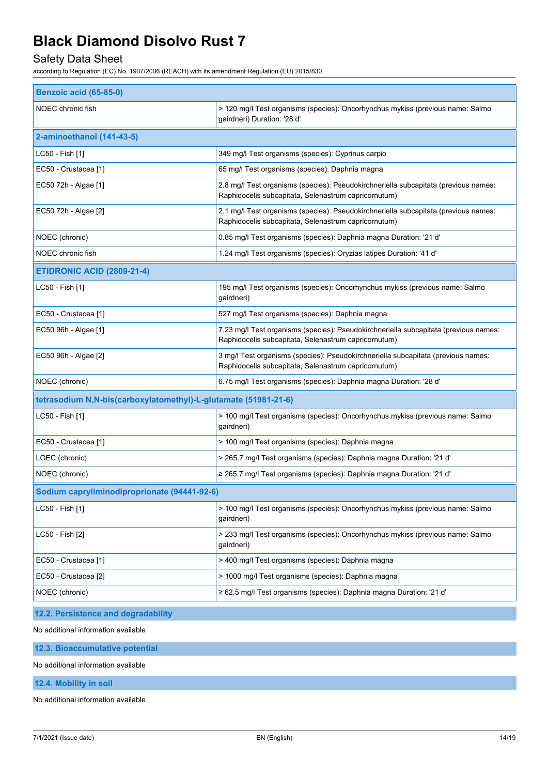### Safety Data Sheet

according to Regulation (EC) No. 1907/2006 (REACH) with its amendment Regulation (EU) 2015/830

| <b>Benzoic acid (65-85-0)</b>                                   |                                                                                                                                              |  |
|-----------------------------------------------------------------|----------------------------------------------------------------------------------------------------------------------------------------------|--|
| NOEC chronic fish                                               | > 120 mg/l Test organisms (species): Oncorhynchus mykiss (previous name: Salmo<br>gairdneri) Duration: '28 d'                                |  |
| 2-aminoethanol (141-43-5)                                       |                                                                                                                                              |  |
| LC50 - Fish [1]                                                 | 349 mg/l Test organisms (species): Cyprinus carpio                                                                                           |  |
| EC50 - Crustacea [1]                                            | 65 mg/l Test organisms (species): Daphnia magna                                                                                              |  |
| EC50 72h - Algae [1]                                            | 2.8 mg/l Test organisms (species): Pseudokirchneriella subcapitata (previous names:<br>Raphidocelis subcapitata, Selenastrum capricornutum)  |  |
| EC50 72h - Algae [2]                                            | 2.1 mg/l Test organisms (species): Pseudokirchneriella subcapitata (previous names:<br>Raphidocelis subcapitata, Selenastrum capricornutum)  |  |
| NOEC (chronic)                                                  | 0.85 mg/l Test organisms (species): Daphnia magna Duration: '21 d'                                                                           |  |
| NOEC chronic fish                                               | 1.24 mg/l Test organisms (species): Oryzias latipes Duration: '41 d'                                                                         |  |
| <b>ETIDRONIC ACID (2809-21-4)</b>                               |                                                                                                                                              |  |
| LC50 - Fish [1]                                                 | 195 mg/l Test organisms (species): Oncorhynchus mykiss (previous name: Salmo<br>gairdneri)                                                   |  |
| EC50 - Crustacea [1]                                            | 527 mg/l Test organisms (species): Daphnia magna                                                                                             |  |
| EC50 96h - Algae [1]                                            | 7.23 mg/l Test organisms (species): Pseudokirchneriella subcapitata (previous names:<br>Raphidocelis subcapitata, Selenastrum capricornutum) |  |
| EC50 96h - Algae [2]                                            | 3 mg/l Test organisms (species): Pseudokirchneriella subcapitata (previous names:<br>Raphidocelis subcapitata, Selenastrum capricornutum)    |  |
| NOEC (chronic)                                                  | 6.75 mg/l Test organisms (species): Daphnia magna Duration: '28 d'                                                                           |  |
| tetrasodium N,N-bis(carboxylatomethyl)-L-glutamate (51981-21-6) |                                                                                                                                              |  |
| LC50 - Fish [1]                                                 | > 100 mg/l Test organisms (species): Oncorhynchus mykiss (previous name: Salmo<br>gairdneri)                                                 |  |
| EC50 - Crustacea [1]                                            | > 100 mg/l Test organisms (species): Daphnia magna                                                                                           |  |
| LOEC (chronic)                                                  | > 265.7 mg/l Test organisms (species): Daphnia magna Duration: '21 d'                                                                        |  |
| NOEC (chronic)                                                  | ≥ 265.7 mg/l Test organisms (species): Daphnia magna Duration: '21 d'                                                                        |  |
| Sodium capryliminodiproprionate (94441-92-6)                    |                                                                                                                                              |  |
| LC50 - Fish [1]                                                 | > 100 mg/l Test organisms (species): Oncorhynchus mykiss (previous name: Salmo<br>gairdneri)                                                 |  |
| LC50 - Fish [2]                                                 | > 233 mg/l Test organisms (species): Oncorhynchus mykiss (previous name: Salmo<br>gairdneri)                                                 |  |
| EC50 - Crustacea [1]                                            | > 400 mg/l Test organisms (species): Daphnia magna                                                                                           |  |
| EC50 - Crustacea [2]                                            | > 1000 mg/l Test organisms (species): Daphnia magna                                                                                          |  |
| NOEC (chronic)                                                  | $\geq$ 62.5 mg/l Test organisms (species): Daphnia magna Duration: '21 d'                                                                    |  |

#### **12.2. Persistence and degradability**

No additional information available

**12.3. Bioaccumulative potential**

No additional information available

**12.4. Mobility in soil**

No additional information available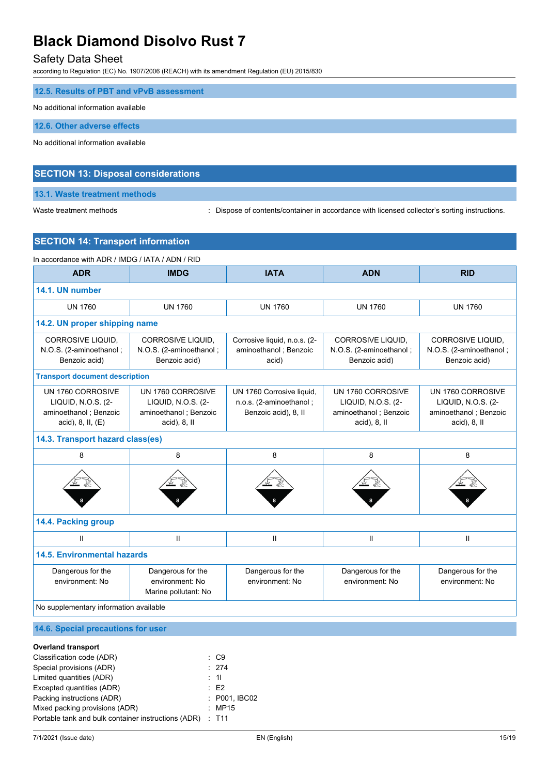### Safety Data Sheet

according to Regulation (EC) No. 1907/2006 (REACH) with its amendment Regulation (EU) 2015/830

| 12.5. Results of PBT and vPvB assessment   |  |
|--------------------------------------------|--|
| No additional information available        |  |
| 12.6. Other adverse effects                |  |
| No additional information available        |  |
|                                            |  |
| <b>SECTION 13: Disposal considerations</b> |  |

**13.1. Waste treatment methods**

Waste treatment methods : Dispose of contents/container in accordance with licensed collector's sorting instructions.

### **SECTION 14: Transport information**

| In accordance with ADR / IMDG / IATA / ADN / RID                                      |                                                                                  |                                                                              |                                                                                         |                                                                                         |
|---------------------------------------------------------------------------------------|----------------------------------------------------------------------------------|------------------------------------------------------------------------------|-----------------------------------------------------------------------------------------|-----------------------------------------------------------------------------------------|
| <b>ADR</b>                                                                            | <b>IMDG</b>                                                                      | <b>IATA</b>                                                                  | <b>ADN</b>                                                                              | <b>RID</b>                                                                              |
| 14.1. UN number                                                                       |                                                                                  |                                                                              |                                                                                         |                                                                                         |
| <b>UN 1760</b>                                                                        | <b>UN 1760</b>                                                                   | <b>UN 1760</b>                                                               | <b>UN 1760</b>                                                                          | <b>UN 1760</b>                                                                          |
| 14.2. UN proper shipping name                                                         |                                                                                  |                                                                              |                                                                                         |                                                                                         |
| <b>CORROSIVE LIQUID.</b><br>N.O.S. (2-aminoethanol;<br>Benzoic acid)                  | CORROSIVE LIQUID,<br>N.O.S. (2-aminoethanol;<br>Benzoic acid)                    | Corrosive liquid, n.o.s. (2-<br>aminoethanol; Benzoic<br>acid)               | CORROSIVE LIQUID,<br>N.O.S. (2-aminoethanol;<br>Benzoic acid)                           | CORROSIVE LIQUID,<br>N.O.S. (2-aminoethanol;<br>Benzoic acid)                           |
| <b>Transport document description</b>                                                 |                                                                                  |                                                                              |                                                                                         |                                                                                         |
| UN 1760 CORROSIVE<br>LIQUID, N.O.S. (2-<br>aminoethanol; Benzoic<br>acid), 8, II, (E) | UN 1760 CORROSIVE<br>LIQUID, N.O.S. (2-<br>aminoethanol; Benzoic<br>acid), 8, II | UN 1760 Corrosive liquid,<br>n.o.s. (2-aminoethanol;<br>Benzoic acid), 8, II | UN 1760 CORROSIVE<br>LIQUID, N.O.S. (2-<br>aminoethanol; Benzoic<br>$acid$ , $8$ , $II$ | UN 1760 CORROSIVE<br>LIQUID, N.O.S. (2-<br>aminoethanol; Benzoic<br>$acid$ , $8$ , $II$ |
| 14.3. Transport hazard class(es)                                                      |                                                                                  |                                                                              |                                                                                         |                                                                                         |
| 8                                                                                     | 8                                                                                | 8                                                                            | 8                                                                                       | 8                                                                                       |
|                                                                                       |                                                                                  |                                                                              |                                                                                         |                                                                                         |
| 14.4. Packing group                                                                   |                                                                                  |                                                                              |                                                                                         |                                                                                         |
| $\mathbf{H}$                                                                          | $\mathbf{H}$                                                                     | $\mathsf{I}$                                                                 | Ш                                                                                       | $\mathbf{II}$                                                                           |
| <b>14.5. Environmental hazards</b>                                                    |                                                                                  |                                                                              |                                                                                         |                                                                                         |
| Dangerous for the<br>environment: No                                                  | Dangerous for the<br>environment: No<br>Marine pollutant: No                     | Dangerous for the<br>environment: No                                         | Dangerous for the<br>environment: No                                                    | Dangerous for the<br>environment: No                                                    |
| No supplementary information available                                                |                                                                                  |                                                                              |                                                                                         |                                                                                         |
| 14.6. Special precautions for user                                                    |                                                                                  |                                                                              |                                                                                         |                                                                                         |
| <b>Overland transport</b><br>Classification code (ADR)                                | $\therefore$ C9                                                                  |                                                                              |                                                                                         |                                                                                         |

| Classification code (ADR)                                 | : C9            |
|-----------------------------------------------------------|-----------------|
| Special provisions (ADR)                                  | : 274           |
| Limited quantities (ADR)                                  | $\therefore$ 11 |
| Excepted quantities (ADR)                                 | E2              |
| Packing instructions (ADR)                                | : P001, IBC02   |
| Mixed packing provisions (ADR)                            | : MP15          |
| Portable tank and bulk container instructions (ADR) : T11 |                 |
|                                                           |                 |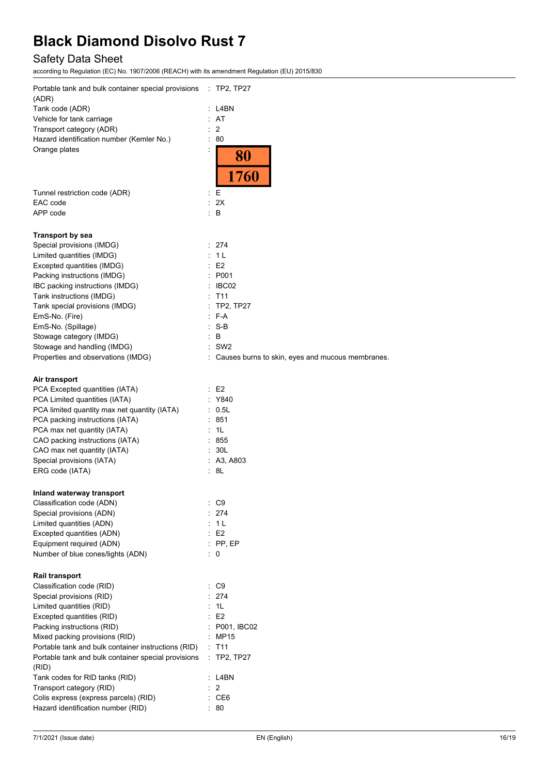## Safety Data Sheet

| Portable tank and bulk container special provisions : TP2, TP27<br>(ADR) |    |                                                    |
|--------------------------------------------------------------------------|----|----------------------------------------------------|
| Tank code (ADR)                                                          |    | L4BN                                               |
| Vehicle for tank carriage                                                |    | : AT                                               |
| Transport category (ADR)                                                 | t, | 2                                                  |
| Hazard identification number (Kemler No.)                                |    | 80                                                 |
| Orange plates                                                            |    |                                                    |
|                                                                          |    | 80<br>1760                                         |
| Tunnel restriction code (ADR)                                            | t. | E                                                  |
| EAC code                                                                 | ÷. | 2X                                                 |
| APP code                                                                 |    | : B                                                |
| <b>Transport by sea</b>                                                  |    |                                                    |
| Special provisions (IMDG)                                                |    | : 274                                              |
| Limited quantities (IMDG)                                                |    | : 1 L                                              |
| Excepted quantities (IMDG)                                               |    | E2                                                 |
| Packing instructions (IMDG)                                              |    | : P001                                             |
| IBC packing instructions (IMDG)                                          |    | $\therefore$ IBC02                                 |
| Tank instructions (IMDG)                                                 |    | $:$ T11                                            |
| Tank special provisions (IMDG)                                           |    | : TP2, TP27                                        |
| EmS-No. (Fire)                                                           |    | $:$ F-A                                            |
| EmS-No. (Spillage)                                                       |    | : S-B                                              |
| Stowage category (IMDG)                                                  |    | : B                                                |
| Stowage and handling (IMDG)                                              |    | $:$ SW2                                            |
| Properties and observations (IMDG)                                       |    | : Causes burns to skin, eyes and mucous membranes. |
| Air transport                                                            |    |                                                    |
| PCA Excepted quantities (IATA)                                           |    | : E2                                               |
| PCA Limited quantities (IATA)                                            |    | Y840                                               |
| PCA limited quantity max net quantity (IATA)                             |    | : 0.5L                                             |
| PCA packing instructions (IATA)                                          |    | : 851                                              |
| PCA max net quantity (IATA)                                              |    | : 1L                                               |
| CAO packing instructions (IATA)                                          |    | : 855                                              |
| CAO max net quantity (IATA)                                              |    | : 30L                                              |
| Special provisions (IATA)                                                |    | : A3, A803                                         |
| ERG code (IATA)                                                          |    | : 8L                                               |
| Inland waterway transport                                                |    |                                                    |
| Classification code (ADN)                                                |    | : C9                                               |
| Special provisions (ADN)                                                 |    | 274                                                |
| Limited quantities (ADN)                                                 |    | : 1L                                               |
| Excepted quantities (ADN)                                                |    | E2                                                 |
| Equipment required (ADN)                                                 |    | $:$ PP, EP                                         |
| Number of blue cones/lights (ADN)                                        |    | : 0                                                |
| <b>Rail transport</b>                                                    |    |                                                    |
| Classification code (RID)                                                |    | $\therefore$ C9                                    |
| Special provisions (RID)                                                 |    | : 274                                              |
| Limited quantities (RID)                                                 |    | : 1L                                               |
| Excepted quantities (RID)                                                |    | E <sub>2</sub>                                     |
| Packing instructions (RID)                                               |    | : P001, IBC02                                      |
| Mixed packing provisions (RID)                                           |    | MP15                                               |
| Portable tank and bulk container instructions (RID)                      |    | T <sub>11</sub>                                    |
| Portable tank and bulk container special provisions<br>(RID)             |    | TP2, TP27                                          |
| Tank codes for RID tanks (RID)                                           |    | L4BN                                               |
| Transport category (RID)                                                 |    | 2                                                  |
| Colis express (express parcels) (RID)                                    |    | CE <sub>6</sub>                                    |
| Hazard identification number (RID)                                       |    | 80                                                 |
|                                                                          |    |                                                    |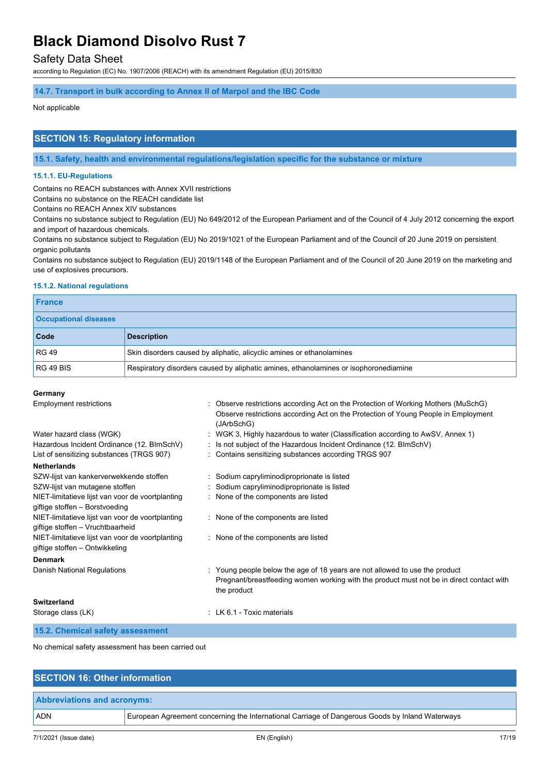#### Safety Data Sheet

according to Regulation (EC) No. 1907/2006 (REACH) with its amendment Regulation (EU) 2015/830

#### **14.7. Transport in bulk according to Annex II of Marpol and the IBC Code**

#### Not applicable

#### **SECTION 15: Regulatory information**

**15.1. Safety, health and environmental regulations/legislation specific for the substance or mixture**

#### **15.1.1. EU-Regulations**

Contains no REACH substances with Annex XVII restrictions

Contains no substance on the REACH candidate list

Contains no REACH Annex XIV substances

Contains no substance subject to Regulation (EU) No 649/2012 of the European Parliament and of the Council of 4 July 2012 concerning the export and import of hazardous chemicals.

Contains no substance subject to Regulation (EU) No 2019/1021 of the European Parliament and of the Council of 20 June 2019 on persistent organic pollutants

Contains no substance subject to Regulation (EU) 2019/1148 of the European Parliament and of the Council of 20 June 2019 on the marketing and use of explosives precursors.

#### **15.1.2. National regulations**

| France                       |                                                                                      |  |
|------------------------------|--------------------------------------------------------------------------------------|--|
| <b>Occupational diseases</b> |                                                                                      |  |
| Code                         | <b>Description</b>                                                                   |  |
| <b>RG 49</b>                 | Skin disorders caused by aliphatic, alicyclic amines or ethanolamines                |  |
| RG49BIS                      | Respiratory disorders caused by aliphatic amines, ethanolamines or isophoronediamine |  |

#### **Germany**

| <b>Employment restrictions</b>                                                       | Observe restrictions according Act on the Protection of Working Mothers (MuSchG)                                                                                                       |
|--------------------------------------------------------------------------------------|----------------------------------------------------------------------------------------------------------------------------------------------------------------------------------------|
|                                                                                      | Observe restrictions according Act on the Protection of Young People in Employment<br>(JArbSchG)                                                                                       |
| Water hazard class (WGK)                                                             | WGK 3, Highly hazardous to water (Classification according to AwSV, Annex 1)                                                                                                           |
| Hazardous Incident Ordinance (12. BImSchV)                                           | : Is not subject of the Hazardous Incident Ordinance (12. BImSchV)                                                                                                                     |
| List of sensitizing substances (TRGS 907)                                            | : Contains sensitizing substances according TRGS 907                                                                                                                                   |
| <b>Netherlands</b>                                                                   |                                                                                                                                                                                        |
| SZW-lijst van kankerverwekkende stoffen                                              | : Sodium capryliminodiproprionate is listed                                                                                                                                            |
| SZW-lijst van mutagene stoffen                                                       | : Sodium capryliminodiproprionate is listed                                                                                                                                            |
| NIET-limitatieve lijst van voor de voortplanting<br>giftige stoffen - Borstvoeding   | : None of the components are listed                                                                                                                                                    |
| NIET-limitatieve lijst van voor de voortplanting<br>giftige stoffen - Vruchtbaarheid | : None of the components are listed                                                                                                                                                    |
| NIET-limitatieve lijst van voor de voortplanting<br>giftige stoffen – Ontwikkeling   | : None of the components are listed                                                                                                                                                    |
| <b>Denmark</b>                                                                       |                                                                                                                                                                                        |
| Danish National Regulations                                                          | : Young people below the age of 18 years are not allowed to use the product<br>Pregnant/breastfeeding women working with the product must not be in direct contact with<br>the product |
| Switzerland                                                                          |                                                                                                                                                                                        |
| Storage class (LK)                                                                   | $\pm$ LK 6.1 - Toxic materials                                                                                                                                                         |
| 15.2. Chemical safety assessment                                                     |                                                                                                                                                                                        |

No chemical safety assessment has been carried out

| <b>SECTION 16: Other information</b> |                                                                                                 |  |
|--------------------------------------|-------------------------------------------------------------------------------------------------|--|
| <b>Abbreviations and acronyms:</b>   |                                                                                                 |  |
| <b>ADN</b>                           | European Agreement concerning the International Carriage of Dangerous Goods by Inland Waterways |  |
|                                      |                                                                                                 |  |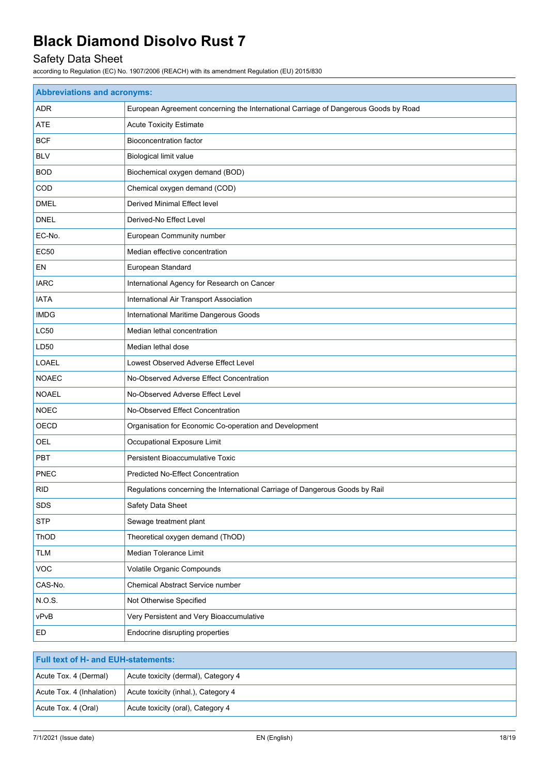## Safety Data Sheet

| <b>Abbreviations and acronyms:</b> |                                                                                     |  |
|------------------------------------|-------------------------------------------------------------------------------------|--|
| ADR                                | European Agreement concerning the International Carriage of Dangerous Goods by Road |  |
| <b>ATE</b>                         | <b>Acute Toxicity Estimate</b>                                                      |  |
| <b>BCF</b>                         | <b>Bioconcentration factor</b>                                                      |  |
| <b>BLV</b>                         | <b>Biological limit value</b>                                                       |  |
| <b>BOD</b>                         | Biochemical oxygen demand (BOD)                                                     |  |
| COD                                | Chemical oxygen demand (COD)                                                        |  |
| <b>DMEL</b>                        | <b>Derived Minimal Effect level</b>                                                 |  |
| <b>DNEL</b>                        | Derived-No Effect Level                                                             |  |
| EC-No.                             | European Community number                                                           |  |
| <b>EC50</b>                        | Median effective concentration                                                      |  |
| EN                                 | European Standard                                                                   |  |
| <b>IARC</b>                        | International Agency for Research on Cancer                                         |  |
| <b>IATA</b>                        | International Air Transport Association                                             |  |
| <b>IMDG</b>                        | International Maritime Dangerous Goods                                              |  |
| <b>LC50</b>                        | Median lethal concentration                                                         |  |
| LD50                               | Median lethal dose                                                                  |  |
| <b>LOAEL</b>                       | Lowest Observed Adverse Effect Level                                                |  |
| <b>NOAEC</b>                       | No-Observed Adverse Effect Concentration                                            |  |
| <b>NOAEL</b>                       | No-Observed Adverse Effect Level                                                    |  |
| <b>NOEC</b>                        | No-Observed Effect Concentration                                                    |  |
| OECD                               | Organisation for Economic Co-operation and Development                              |  |
| OEL                                | Occupational Exposure Limit                                                         |  |
| PBT                                | Persistent Bioaccumulative Toxic                                                    |  |
| <b>PNEC</b>                        | <b>Predicted No-Effect Concentration</b>                                            |  |
| <b>RID</b>                         | Regulations concerning the International Carriage of Dangerous Goods by Rail        |  |
| SDS                                | Safety Data Sheet                                                                   |  |
| <b>STP</b>                         | Sewage treatment plant                                                              |  |
| ThOD                               | Theoretical oxygen demand (ThOD)                                                    |  |
| <b>TLM</b>                         | Median Tolerance Limit                                                              |  |
| <b>VOC</b>                         | Volatile Organic Compounds                                                          |  |
| CAS-No.                            | Chemical Abstract Service number                                                    |  |
| N.O.S.                             | Not Otherwise Specified                                                             |  |
| vPvB                               | Very Persistent and Very Bioaccumulative                                            |  |
| ED                                 | Endocrine disrupting properties                                                     |  |

| <b>Full text of H- and EUH-statements:</b> |                                     |  |
|--------------------------------------------|-------------------------------------|--|
| Acute Tox. 4 (Dermal)                      | Acute toxicity (dermal), Category 4 |  |
| Acute Tox. 4 (Inhalation)                  | Acute toxicity (inhal.), Category 4 |  |
| Acute Tox. 4 (Oral)                        | Acute toxicity (oral), Category 4   |  |